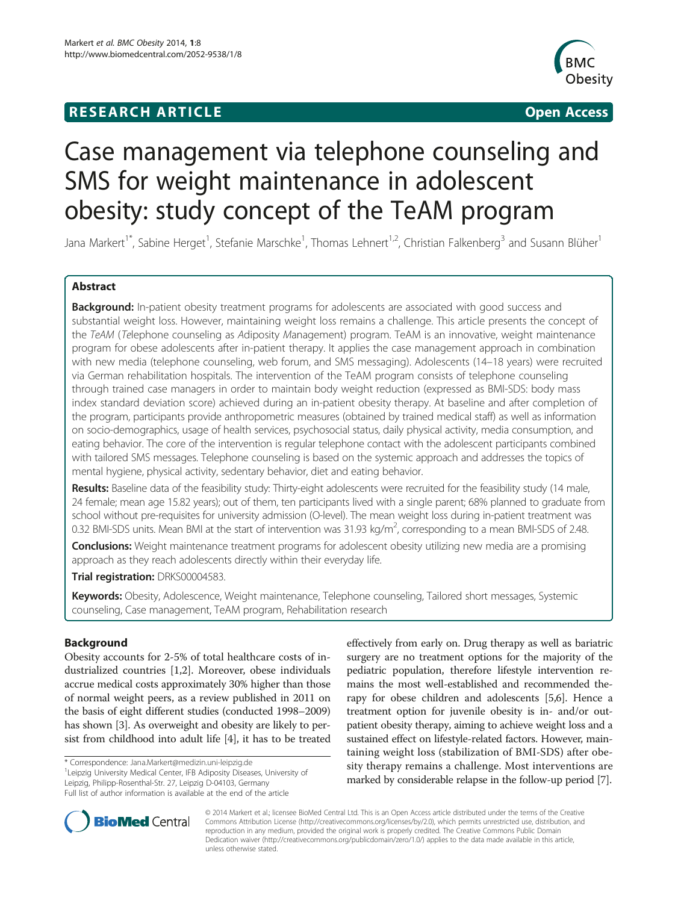## **RESEARCH ARTICLE Example 2014 12:30 The SEAR CH ACCESS**



# Case management via telephone counseling and SMS for weight maintenance in adolescent obesity: study concept of the TeAM program

Jana Markert<sup>1\*</sup>, Sabine Herget<sup>1</sup>, Stefanie Marschke<sup>1</sup>, Thomas Lehnert<sup>1,2</sup>, Christian Falkenberg<sup>3</sup> and Susann Blüher<sup>1</sup>

## Abstract

Background: In-patient obesity treatment programs for adolescents are associated with good success and substantial weight loss. However, maintaining weight loss remains a challenge. This article presents the concept of the TeAM (Telephone counseling as Adiposity Management) program. TeAM is an innovative, weight maintenance program for obese adolescents after in-patient therapy. It applies the case management approach in combination with new media (telephone counseling, web forum, and SMS messaging). Adolescents (14–18 years) were recruited via German rehabilitation hospitals. The intervention of the TeAM program consists of telephone counseling through trained case managers in order to maintain body weight reduction (expressed as BMI-SDS: body mass index standard deviation score) achieved during an in-patient obesity therapy. At baseline and after completion of the program, participants provide anthropometric measures (obtained by trained medical staff) as well as information on socio-demographics, usage of health services, psychosocial status, daily physical activity, media consumption, and eating behavior. The core of the intervention is regular telephone contact with the adolescent participants combined with tailored SMS messages. Telephone counseling is based on the systemic approach and addresses the topics of mental hygiene, physical activity, sedentary behavior, diet and eating behavior.

Results: Baseline data of the feasibility study: Thirty-eight adolescents were recruited for the feasibility study (14 male, 24 female; mean age 15.82 years); out of them, ten participants lived with a single parent; 68% planned to graduate from school without pre-requisites for university admission (O-level). The mean weight loss during in-patient treatment was 0.32 BMI-SDS units. Mean BMI at the start of intervention was 31.93 kg/m<sup>2</sup>, corresponding to a mean BMI-SDS of 2.48.

**Conclusions:** Weight maintenance treatment programs for adolescent obesity utilizing new media are a promising approach as they reach adolescents directly within their everyday life.

Trial registration: [DRKS00004583.](https://drks-neu.uniklinik-freiburg.de/drks_web/setLocale_EN.do)

Keywords: Obesity, Adolescence, Weight maintenance, Telephone counseling, Tailored short messages, Systemic counseling, Case management, TeAM program, Rehabilitation research

## Background

Obesity accounts for 2-5% of total healthcare costs of industrialized countries [[1,2\]](#page-6-0). Moreover, obese individuals accrue medical costs approximately 30% higher than those of normal weight peers, as a review published in 2011 on the basis of eight different studies (conducted 1998–2009) has shown [\[3](#page-6-0)]. As overweight and obesity are likely to persist from childhood into adult life [\[4\]](#page-6-0), it has to be treated

\* Correspondence: [Jana.Markert@medizin.uni-leipzig.de](mailto:Jana.Markert@medizin.uni-leipzig.de) <sup>1</sup>

<sup>1</sup> Leipzig University Medical Center, IFB Adiposity Diseases, University of Leipzig, Philipp-Rosenthal-Str. 27, Leipzig D-04103, Germany Full list of author information is available at the end of the article

effectively from early on. Drug therapy as well as bariatric surgery are no treatment options for the majority of the pediatric population, therefore lifestyle intervention remains the most well-established and recommended therapy for obese children and adolescents [[5,6](#page-6-0)]. Hence a treatment option for juvenile obesity is in- and/or outpatient obesity therapy, aiming to achieve weight loss and a sustained effect on lifestyle-related factors. However, maintaining weight loss (stabilization of BMI-SDS) after obesity therapy remains a challenge. Most interventions are marked by considerable relapse in the follow-up period [[7\]](#page-6-0).



© 2014 Markert et al.; licensee BioMed Central Ltd. This is an Open Access article distributed under the terms of the Creative Commons Attribution License [\(http://creativecommons.org/licenses/by/2.0\)](http://creativecommons.org/licenses/by/2.0), which permits unrestricted use, distribution, and reproduction in any medium, provided the original work is properly credited. The Creative Commons Public Domain Dedication waiver [\(http://creativecommons.org/publicdomain/zero/1.0/](http://creativecommons.org/publicdomain/zero/1.0/)) applies to the data made available in this article, unless otherwise stated.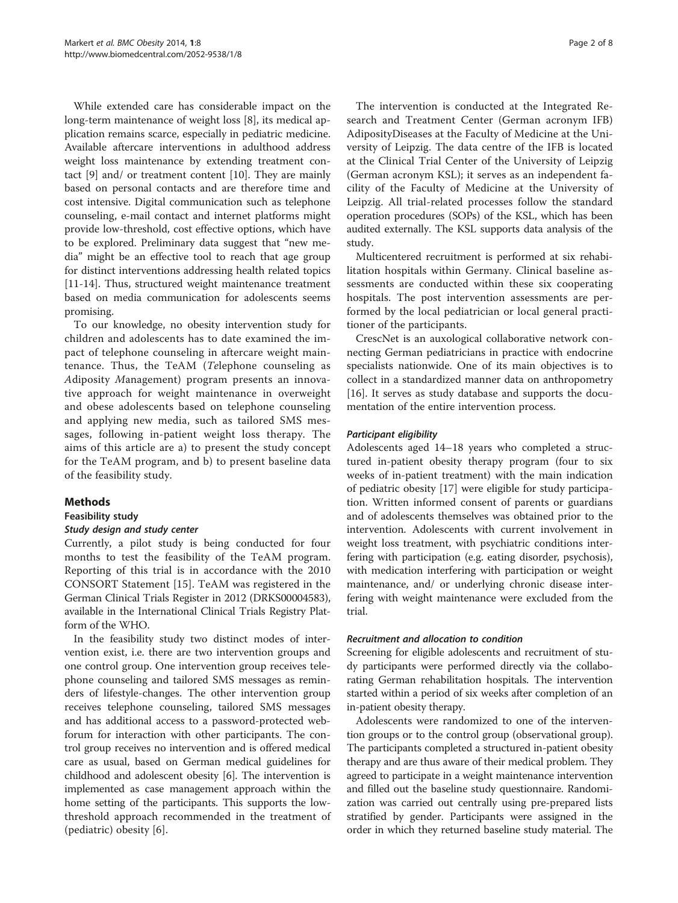While extended care has considerable impact on the long-term maintenance of weight loss [\[8](#page-6-0)], its medical application remains scarce, especially in pediatric medicine. Available aftercare interventions in adulthood address weight loss maintenance by extending treatment contact [\[9](#page-6-0)] and/ or treatment content [[10\]](#page-6-0). They are mainly based on personal contacts and are therefore time and cost intensive. Digital communication such as telephone counseling, e-mail contact and internet platforms might provide low-threshold, cost effective options, which have to be explored. Preliminary data suggest that "new media" might be an effective tool to reach that age group for distinct interventions addressing health related topics [[11-14](#page-6-0)]. Thus, structured weight maintenance treatment based on media communication for adolescents seems promising.

To our knowledge, no obesity intervention study for children and adolescents has to date examined the impact of telephone counseling in aftercare weight maintenance. Thus, the TeAM (Telephone counseling as Adiposity Management) program presents an innovative approach for weight maintenance in overweight and obese adolescents based on telephone counseling and applying new media, such as tailored SMS messages, following in-patient weight loss therapy. The aims of this article are a) to present the study concept for the TeAM program, and b) to present baseline data of the feasibility study.

## Methods

## Feasibility study

## Study design and study center

Currently, a pilot study is being conducted for four months to test the feasibility of the TeAM program. Reporting of this trial is in accordance with the 2010 CONSORT Statement [\[15](#page-6-0)]. TeAM was registered in the German Clinical Trials Register in 2012 (DRKS00004583), available in the International Clinical Trials Registry Platform of the WHO.

In the feasibility study two distinct modes of intervention exist, i.e. there are two intervention groups and one control group. One intervention group receives telephone counseling and tailored SMS messages as reminders of lifestyle-changes. The other intervention group receives telephone counseling, tailored SMS messages and has additional access to a password-protected webforum for interaction with other participants. The control group receives no intervention and is offered medical care as usual, based on German medical guidelines for childhood and adolescent obesity [[6\]](#page-6-0). The intervention is implemented as case management approach within the home setting of the participants. This supports the lowthreshold approach recommended in the treatment of (pediatric) obesity [\[6](#page-6-0)].

The intervention is conducted at the Integrated Research and Treatment Center (German acronym IFB) AdiposityDiseases at the Faculty of Medicine at the University of Leipzig. The data centre of the IFB is located at the Clinical Trial Center of the University of Leipzig (German acronym KSL); it serves as an independent facility of the Faculty of Medicine at the University of Leipzig. All trial-related processes follow the standard operation procedures (SOPs) of the KSL, which has been audited externally. The KSL supports data analysis of the study.

Multicentered recruitment is performed at six rehabilitation hospitals within Germany. Clinical baseline assessments are conducted within these six cooperating hospitals. The post intervention assessments are performed by the local pediatrician or local general practitioner of the participants.

CrescNet is an auxological collaborative network connecting German pediatricians in practice with endocrine specialists nationwide. One of its main objectives is to collect in a standardized manner data on anthropometry [[16\]](#page-6-0). It serves as study database and supports the documentation of the entire intervention process.

#### Participant eligibility

Adolescents aged 14–18 years who completed a structured in-patient obesity therapy program (four to six weeks of in-patient treatment) with the main indication of pediatric obesity [\[17](#page-6-0)] were eligible for study participation. Written informed consent of parents or guardians and of adolescents themselves was obtained prior to the intervention. Adolescents with current involvement in weight loss treatment, with psychiatric conditions interfering with participation (e.g. eating disorder, psychosis), with medication interfering with participation or weight maintenance, and/ or underlying chronic disease interfering with weight maintenance were excluded from the trial.

#### Recruitment and allocation to condition

Screening for eligible adolescents and recruitment of study participants were performed directly via the collaborating German rehabilitation hospitals. The intervention started within a period of six weeks after completion of an in-patient obesity therapy.

Adolescents were randomized to one of the intervention groups or to the control group (observational group). The participants completed a structured in-patient obesity therapy and are thus aware of their medical problem. They agreed to participate in a weight maintenance intervention and filled out the baseline study questionnaire. Randomization was carried out centrally using pre-prepared lists stratified by gender. Participants were assigned in the order in which they returned baseline study material. The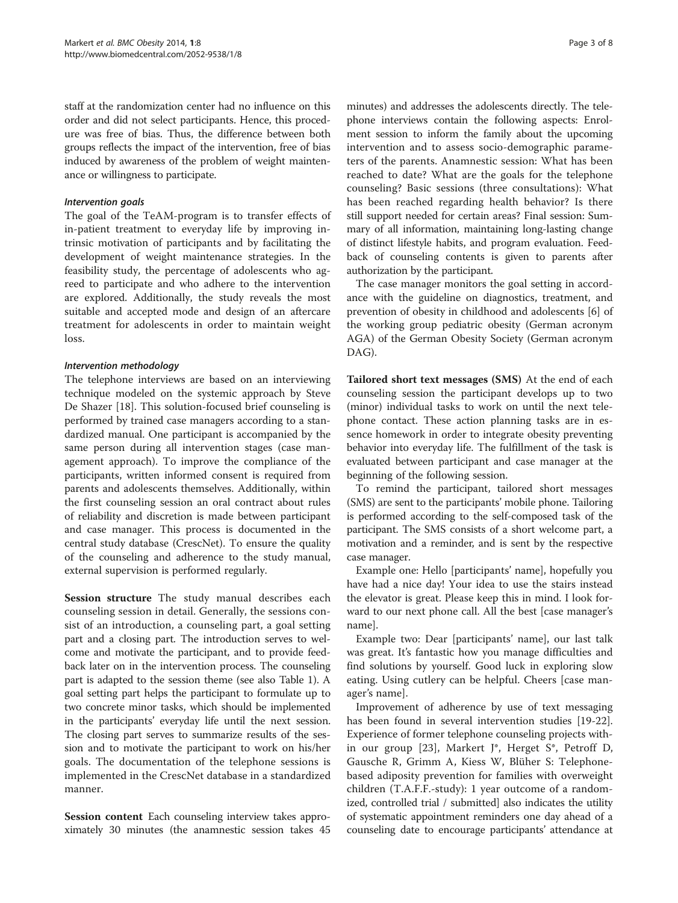staff at the randomization center had no influence on this order and did not select participants. Hence, this procedure was free of bias. Thus, the difference between both groups reflects the impact of the intervention, free of bias induced by awareness of the problem of weight maintenance or willingness to participate.

#### Intervention goals

The goal of the TeAM-program is to transfer effects of in-patient treatment to everyday life by improving intrinsic motivation of participants and by facilitating the development of weight maintenance strategies. In the feasibility study, the percentage of adolescents who agreed to participate and who adhere to the intervention are explored. Additionally, the study reveals the most suitable and accepted mode and design of an aftercare treatment for adolescents in order to maintain weight loss.

#### Intervention methodology

The telephone interviews are based on an interviewing technique modeled on the systemic approach by Steve De Shazer [[18\]](#page-6-0). This solution-focused brief counseling is performed by trained case managers according to a standardized manual. One participant is accompanied by the same person during all intervention stages (case management approach). To improve the compliance of the participants, written informed consent is required from parents and adolescents themselves. Additionally, within the first counseling session an oral contract about rules of reliability and discretion is made between participant and case manager. This process is documented in the central study database (CrescNet). To ensure the quality of the counseling and adherence to the study manual, external supervision is performed regularly.

Session structure The study manual describes each counseling session in detail. Generally, the sessions consist of an introduction, a counseling part, a goal setting part and a closing part. The introduction serves to welcome and motivate the participant, and to provide feedback later on in the intervention process. The counseling part is adapted to the session theme (see also Table [1](#page-3-0)). A goal setting part helps the participant to formulate up to two concrete minor tasks, which should be implemented in the participants' everyday life until the next session. The closing part serves to summarize results of the session and to motivate the participant to work on his/her goals. The documentation of the telephone sessions is implemented in the CrescNet database in a standardized manner.

Session content Each counseling interview takes approximately 30 minutes (the anamnestic session takes 45

minutes) and addresses the adolescents directly. The telephone interviews contain the following aspects: Enrolment session to inform the family about the upcoming intervention and to assess socio-demographic parameters of the parents. Anamnestic session: What has been reached to date? What are the goals for the telephone counseling? Basic sessions (three consultations): What has been reached regarding health behavior? Is there still support needed for certain areas? Final session: Summary of all information, maintaining long-lasting change of distinct lifestyle habits, and program evaluation. Feedback of counseling contents is given to parents after authorization by the participant.

The case manager monitors the goal setting in accordance with the guideline on diagnostics, treatment, and prevention of obesity in childhood and adolescents [[6](#page-6-0)] of the working group pediatric obesity (German acronym AGA) of the German Obesity Society (German acronym DAG).

Tailored short text messages (SMS) At the end of each counseling session the participant develops up to two (minor) individual tasks to work on until the next telephone contact. These action planning tasks are in essence homework in order to integrate obesity preventing behavior into everyday life. The fulfillment of the task is evaluated between participant and case manager at the beginning of the following session.

To remind the participant, tailored short messages (SMS) are sent to the participants' mobile phone. Tailoring is performed according to the self-composed task of the participant. The SMS consists of a short welcome part, a motivation and a reminder, and is sent by the respective case manager.

Example one: Hello [participants' name], hopefully you have had a nice day! Your idea to use the stairs instead the elevator is great. Please keep this in mind. I look forward to our next phone call. All the best [case manager's name].

Example two: Dear [participants' name], our last talk was great. It's fantastic how you manage difficulties and find solutions by yourself. Good luck in exploring slow eating. Using cutlery can be helpful. Cheers [case manager's name].

Improvement of adherence by use of text messaging has been found in several intervention studies [\[19-22](#page-6-0)]. Experience of former telephone counseling projects within our group [[23](#page-6-0)], Markert J\*, Herget S\*, Petroff D, Gausche R, Grimm A, Kiess W, Blüher S: Telephonebased adiposity prevention for families with overweight children (T.A.F.F.-study): 1 year outcome of a randomized, controlled trial / submitted] also indicates the utility of systematic appointment reminders one day ahead of a counseling date to encourage participants' attendance at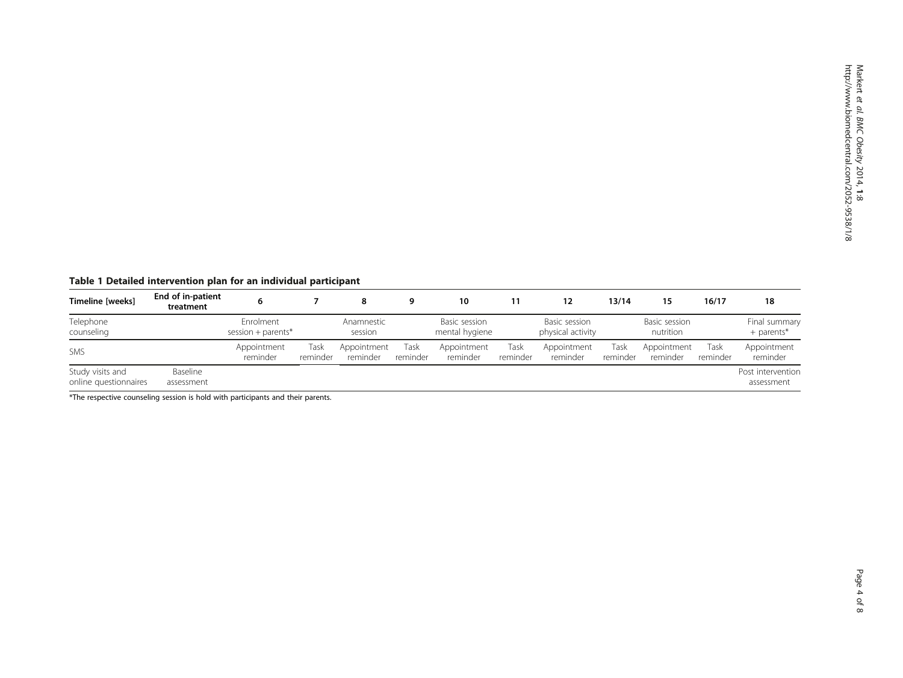## <span id="page-3-0"></span>Table 1 Detailed intervention plan for an individual participant

| Timeline [weeks]                          | End of in-patient<br>treatment |                                 |                  | 8                       |                  | 10                              | 11               | 12                                 | 13/14            | 15                         | 16/17            | 18                              |
|-------------------------------------------|--------------------------------|---------------------------------|------------------|-------------------------|------------------|---------------------------------|------------------|------------------------------------|------------------|----------------------------|------------------|---------------------------------|
| Telephone<br>counseling                   |                                | Enrolment<br>session + parents* |                  | Anamnestic<br>session   |                  | Basic session<br>mental hygiene |                  | Basic session<br>physical activity |                  | Basic session<br>nutrition |                  | Final summary<br>$+$ parents*   |
| <b>SMS</b>                                |                                | Appointment<br>reminder         | Task<br>reminder | Appointment<br>reminder | Task<br>reminder | Appointment<br>reminder         | Task<br>reminder | Appointment<br>reminder            | Task<br>reminder | Appointment<br>reminder    | Task<br>reminder | Appointment<br>reminder         |
| Study visits and<br>online questionnaires | Baseline<br>assessment         |                                 |                  |                         |                  |                                 |                  |                                    |                  |                            |                  | Post intervention<br>assessment |

\*The respective counseling session is hold with participants and their parents.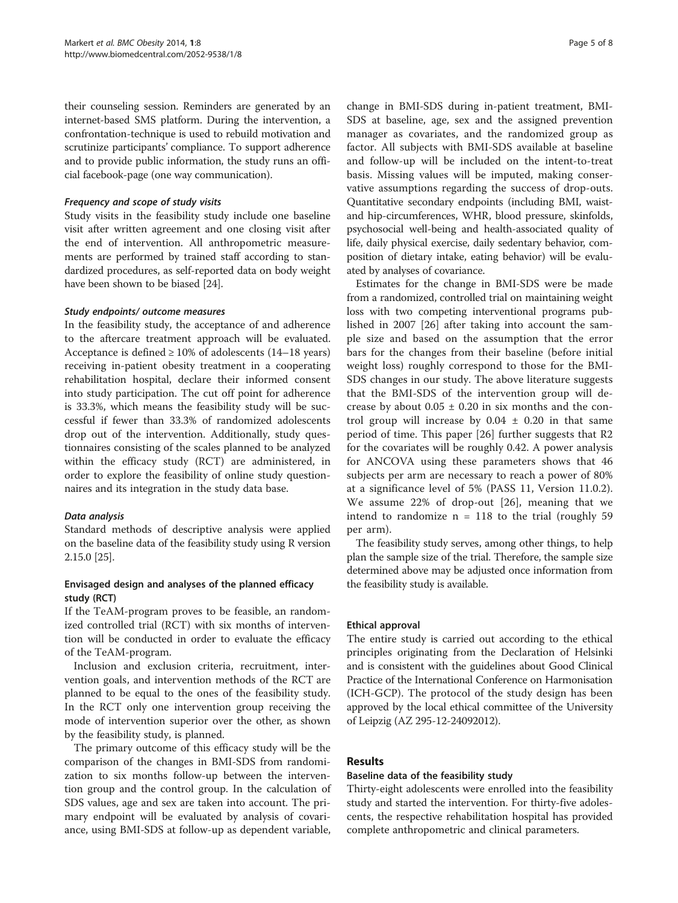their counseling session. Reminders are generated by an internet-based SMS platform. During the intervention, a confrontation-technique is used to rebuild motivation and scrutinize participants' compliance. To support adherence and to provide public information, the study runs an official facebook-page (one way communication).

#### Frequency and scope of study visits

Study visits in the feasibility study include one baseline visit after written agreement and one closing visit after the end of intervention. All anthropometric measurements are performed by trained staff according to standardized procedures, as self-reported data on body weight have been shown to be biased [\[24\]](#page-6-0).

#### Study endpoints/ outcome measures

In the feasibility study, the acceptance of and adherence to the aftercare treatment approach will be evaluated. Acceptance is defined  $\geq 10\%$  of adolescents (14–18 years) receiving in-patient obesity treatment in a cooperating rehabilitation hospital, declare their informed consent into study participation. The cut off point for adherence is 33.3%, which means the feasibility study will be successful if fewer than 33.3% of randomized adolescents drop out of the intervention. Additionally, study questionnaires consisting of the scales planned to be analyzed within the efficacy study (RCT) are administered, in order to explore the feasibility of online study questionnaires and its integration in the study data base.

## Data analysis

Standard methods of descriptive analysis were applied on the baseline data of the feasibility study using R version 2.15.0 [[25](#page-7-0)].

## Envisaged design and analyses of the planned efficacy study (RCT)

If the TeAM-program proves to be feasible, an randomized controlled trial (RCT) with six months of intervention will be conducted in order to evaluate the efficacy of the TeAM-program.

Inclusion and exclusion criteria, recruitment, intervention goals, and intervention methods of the RCT are planned to be equal to the ones of the feasibility study. In the RCT only one intervention group receiving the mode of intervention superior over the other, as shown by the feasibility study, is planned.

The primary outcome of this efficacy study will be the comparison of the changes in BMI-SDS from randomization to six months follow-up between the intervention group and the control group. In the calculation of SDS values, age and sex are taken into account. The primary endpoint will be evaluated by analysis of covariance, using BMI-SDS at follow-up as dependent variable,

change in BMI-SDS during in-patient treatment, BMI-SDS at baseline, age, sex and the assigned prevention manager as covariates, and the randomized group as factor. All subjects with BMI-SDS available at baseline and follow-up will be included on the intent-to-treat basis. Missing values will be imputed, making conservative assumptions regarding the success of drop-outs. Quantitative secondary endpoints (including BMI, waistand hip-circumferences, WHR, blood pressure, skinfolds, psychosocial well-being and health-associated quality of life, daily physical exercise, daily sedentary behavior, composition of dietary intake, eating behavior) will be evaluated by analyses of covariance.

Estimates for the change in BMI-SDS were be made from a randomized, controlled trial on maintaining weight loss with two competing interventional programs published in 2007 [[26\]](#page-7-0) after taking into account the sample size and based on the assumption that the error bars for the changes from their baseline (before initial weight loss) roughly correspond to those for the BMI-SDS changes in our study. The above literature suggests that the BMI-SDS of the intervention group will decrease by about  $0.05 \pm 0.20$  in six months and the control group will increase by  $0.04 \pm 0.20$  in that same period of time. This paper [[26\]](#page-7-0) further suggests that R2 for the covariates will be roughly 0.42. A power analysis for ANCOVA using these parameters shows that 46 subjects per arm are necessary to reach a power of 80% at a significance level of 5% (PASS 11, Version 11.0.2). We assume 22% of drop-out [[26\]](#page-7-0), meaning that we intend to randomize  $n = 118$  to the trial (roughly 59 per arm).

The feasibility study serves, among other things, to help plan the sample size of the trial. Therefore, the sample size determined above may be adjusted once information from the feasibility study is available.

## Ethical approval

The entire study is carried out according to the ethical principles originating from the Declaration of Helsinki and is consistent with the guidelines about Good Clinical Practice of the International Conference on Harmonisation (ICH-GCP). The protocol of the study design has been approved by the local ethical committee of the University of Leipzig (AZ 295-12-24092012).

## Results

## Baseline data of the feasibility study

Thirty-eight adolescents were enrolled into the feasibility study and started the intervention. For thirty-five adolescents, the respective rehabilitation hospital has provided complete anthropometric and clinical parameters.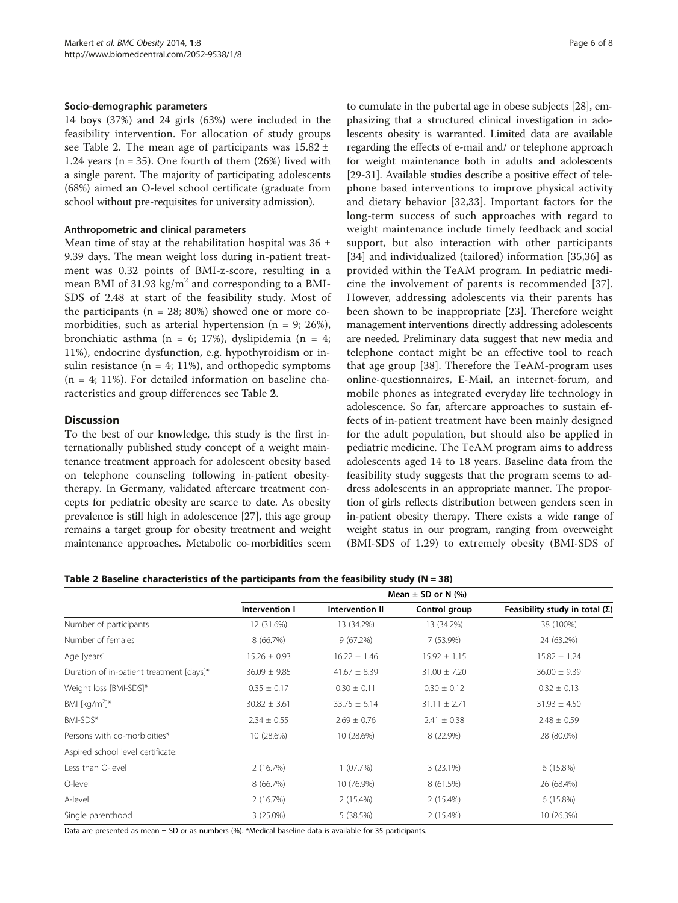#### Socio-demographic parameters

14 boys (37%) and 24 girls (63%) were included in the feasibility intervention. For allocation of study groups see Table 2. The mean age of participants was  $15.82 \pm$ 1.24 years ( $n = 35$ ). One fourth of them (26%) lived with a single parent. The majority of participating adolescents (68%) aimed an O-level school certificate (graduate from school without pre-requisites for university admission).

#### Anthropometric and clinical parameters

Mean time of stay at the rehabilitation hospital was  $36 \pm$ 9.39 days. The mean weight loss during in-patient treatment was 0.32 points of BMI-z-score, resulting in a mean BMI of 31.93 kg/ $m<sup>2</sup>$  and corresponding to a BMI-SDS of 2.48 at start of the feasibility study. Most of the participants ( $n = 28$ ; 80%) showed one or more comorbidities, such as arterial hypertension ( $n = 9$ ; 26%), bronchiatic asthma (n = 6; 17%), dyslipidemia (n = 4; 11%), endocrine dysfunction, e.g. hypothyroidism or insulin resistance ( $n = 4$ ; 11%), and orthopedic symptoms  $(n = 4; 11\%)$ . For detailed information on baseline characteristics and group differences see Table 2.

## **Discussion**

To the best of our knowledge, this study is the first internationally published study concept of a weight maintenance treatment approach for adolescent obesity based on telephone counseling following in-patient obesitytherapy. In Germany, validated aftercare treatment concepts for pediatric obesity are scarce to date. As obesity prevalence is still high in adolescence [[27](#page-7-0)], this age group remains a target group for obesity treatment and weight maintenance approaches. Metabolic co-morbidities seem to cumulate in the pubertal age in obese subjects [\[28\]](#page-7-0), emphasizing that a structured clinical investigation in adolescents obesity is warranted. Limited data are available regarding the effects of e-mail and/ or telephone approach for weight maintenance both in adults and adolescents [[29](#page-7-0)-[31\]](#page-7-0). Available studies describe a positive effect of telephone based interventions to improve physical activity and dietary behavior [\[32](#page-7-0),[33\]](#page-7-0). Important factors for the long-term success of such approaches with regard to weight maintenance include timely feedback and social support, but also interaction with other participants [[34](#page-7-0)] and individualized (tailored) information [[35,36\]](#page-7-0) as provided within the TeAM program. In pediatric medicine the involvement of parents is recommended [\[37](#page-7-0)]. However, addressing adolescents via their parents has been shown to be inappropriate [\[23](#page-6-0)]. Therefore weight management interventions directly addressing adolescents are needed. Preliminary data suggest that new media and telephone contact might be an effective tool to reach that age group [\[38](#page-7-0)]. Therefore the TeAM-program uses online-questionnaires, E-Mail, an internet-forum, and mobile phones as integrated everyday life technology in adolescence. So far, aftercare approaches to sustain effects of in-patient treatment have been mainly designed for the adult population, but should also be applied in pediatric medicine. The TeAM program aims to address adolescents aged 14 to 18 years. Baseline data from the feasibility study suggests that the program seems to address adolescents in an appropriate manner. The proportion of girls reflects distribution between genders seen in in-patient obesity therapy. There exists a wide range of weight status in our program, ranging from overweight (BMI-SDS of 1.29) to extremely obesity (BMI-SDS of

Table 2 Baseline characteristics of the participants from the feasibility study ( $N = 38$ )

|                                          | Mean $\pm$ SD or N (%) |                  |                  |                                       |  |  |  |  |
|------------------------------------------|------------------------|------------------|------------------|---------------------------------------|--|--|--|--|
|                                          | Intervention I         | Intervention II  | Control group    | Feasibility study in total $(\Sigma)$ |  |  |  |  |
| Number of participants                   | 12 (31.6%)             | 13 (34.2%)       | 13 (34.2%)       | 38 (100%)                             |  |  |  |  |
| Number of females                        | 8 (66.7%)              | 9(67.2%)         | 7 (53.9%)        | 24 (63.2%)                            |  |  |  |  |
| Age [years]                              | $15.26 \pm 0.93$       | $16.22 \pm 1.46$ | $15.92 \pm 1.15$ | $15.82 \pm 1.24$                      |  |  |  |  |
| Duration of in-patient treatment [days]* | $36.09 \pm 9.85$       | $41.67 \pm 8.39$ | $31.00 \pm 7.20$ | $36.00 \pm 9.39$                      |  |  |  |  |
| Weight loss [BMI-SDS]*                   | $0.35 \pm 0.17$        | $0.30 \pm 0.11$  | $0.30 \pm 0.12$  | $0.32 \pm 0.13$                       |  |  |  |  |
| BMI [ $kg/m2$ ]*                         | $30.82 \pm 3.61$       | $33.75 \pm 6.14$ | $31.11 \pm 2.71$ | $31.93 \pm 4.50$                      |  |  |  |  |
| BMI-SDS*                                 | $2.34 \pm 0.55$        | $2.69 \pm 0.76$  | $2.41 \pm 0.38$  | $2.48 \pm 0.59$                       |  |  |  |  |
| Persons with co-morbidities*             | 10 (28.6%)             | 10 (28.6%)       | 8 (22.9%)        | 28 (80.0%)                            |  |  |  |  |
| Aspired school level certificate:        |                        |                  |                  |                                       |  |  |  |  |
| Less than O-level                        | 2(16.7%)               | 1(07.7%)         | $3(23.1\%)$      | $6(15.8\%)$                           |  |  |  |  |
| O-level                                  | 8 (66.7%)              | 10 (76.9%)       | 8 (61.5%)        | 26 (68.4%)                            |  |  |  |  |
| A-level                                  | 2(16.7%)               | 2(15.4%)         | 2(15.4%)         | 6(15.8%)                              |  |  |  |  |
| Single parenthood                        | $3(25.0\%)$            | 5(38.5%)         | 2(15.4%)         | 10 (26.3%)                            |  |  |  |  |

Data are presented as mean  $\pm$  SD or as numbers (%). \*Medical baseline data is available for 35 participants.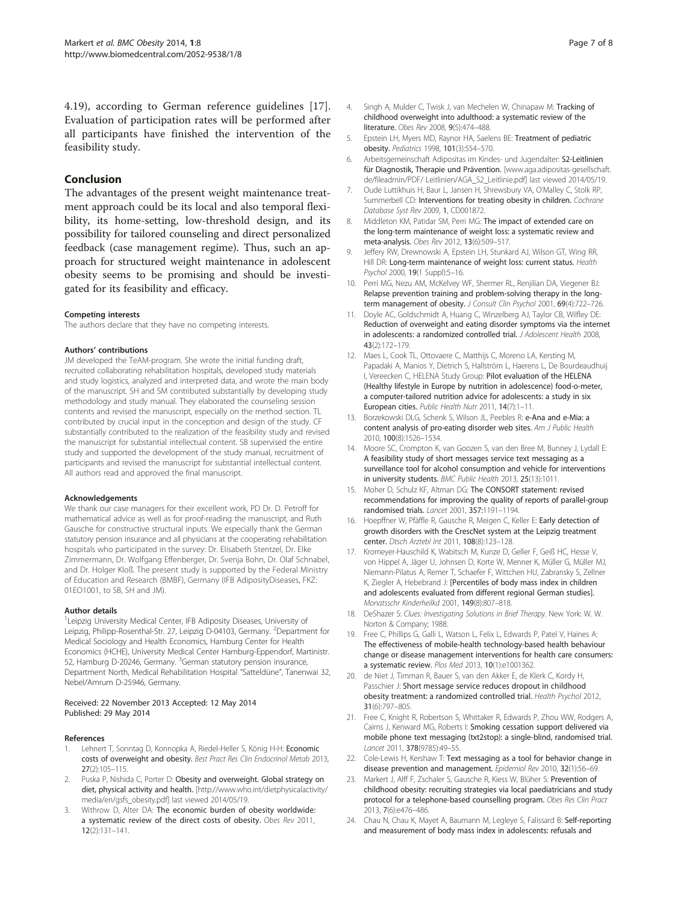<span id="page-6-0"></span>4.19), according to German reference guidelines [17]. Evaluation of participation rates will be performed after all participants have finished the intervention of the feasibility study.

#### Conclusion

The advantages of the present weight maintenance treatment approach could be its local and also temporal flexibility, its home-setting, low-threshold design, and its possibility for tailored counseling and direct personalized feedback (case management regime). Thus, such an approach for structured weight maintenance in adolescent obesity seems to be promising and should be investigated for its feasibility and efficacy.

#### Competing interests

The authors declare that they have no competing interests.

#### Authors' contributions

JM developed the TeAM-program. She wrote the initial funding draft, recruited collaborating rehabilitation hospitals, developed study materials and study logistics, analyzed and interpreted data, and wrote the main body of the manuscript. SH and SM contributed substantially by developing study methodology and study manual. They elaborated the counseling session contents and revised the manuscript, especially on the method section. TL contributed by crucial input in the conception and design of the study. CF substantially contributed to the realization of the feasibility study and revised the manuscript for substantial intellectual content. SB supervised the entire study and supported the development of the study manual, recruitment of participants and revised the manuscript for substantial intellectual content. All authors read and approved the final manuscript.

#### Acknowledgements

We thank our case managers for their excellent work, PD Dr. D. Petroff for mathematical advice as well as for proof-reading the manuscript, and Ruth Gausche for constructive structural inputs. We especially thank the German statutory pension insurance and all physicians at the cooperating rehabilitation hospitals who participated in the survey: Dr. Elisabeth Stentzel, Dr. Elke Zimmermann, Dr. Wolfgang Effenberger, Dr. Svenja Bohn, Dr. Olaf Schnabel, and Dr. Holger Kloß. The present study is supported by the Federal Ministry of Education and Research (BMBF), Germany (IFB AdiposityDiseases, FKZ: 01EO1001, to SB, SH and JM).

#### Author details

<sup>1</sup>Leipzig University Medical Center, IFB Adiposity Diseases, University of Leipzig, Philipp-Rosenthal-Str. 27, Leipzig D-04103, Germany. <sup>2</sup>Department for Medical Sociology and Health Economics, Hamburg Center for Health Economics (HCHE), University Medical Center Hamburg-Eppendorf, Martinistr. 52, Hamburg D-20246, Germany. <sup>3</sup>German statutory pension insurance, Department North, Medical Rehabilitation Hospital "Satteldüne", Tanenwai 32, Nebel/Amrum D-25946, Germany.

#### Received: 22 November 2013 Accepted: 12 May 2014 Published: 29 May 2014

#### References

- 1. Lehnert T, Sonntag D, Konnopka A, Riedel-Heller S, König H-H: Economic costs of overweight and obesity. Best Pract Res Clin Endocrinol Metab 2013, 27(2):105–115.
- Puska P, Nishida C, Porter D: Obesity and overweight. Global strategy on diet, physical activity and health. [[http://www.who.int/dietphysicalactivity/](http://www.who.int/dietphysicalactivity/media/en/gsfs_obesity.pdf) [media/en/gsfs\\_obesity.pdf](http://www.who.int/dietphysicalactivity/media/en/gsfs_obesity.pdf)] last viewed 2014/05/19.
- Withrow D, Alter DA: The economic burden of obesity worldwide: a systematic review of the direct costs of obesity. Obes Rev 2011, 12(2):131–141.
- 4. Singh A, Mulder C, Twisk J, van Mechelen W, Chinapaw M: Tracking of childhood overweight into adulthood: a systematic review of the literature. Obes Rev 2008, 9(5):474–488.
- 5. Epstein LH, Myers MD, Raynor HA, Saelens BE: Treatment of pediatric obesity. Pediatrics 1998, 101(3):554–570.
- 6. Arbeitsgemeinschaft Adipositas im Kindes- und Jugendalter: S2-Leitlinien für Diagnostik, Therapie und Prävention. [[www.aga.adipositas-gesellschaft.](http://www.aga.adipositas-gesellschaft.de/fileadmin/PDF/ Leitlinien/AGA_S2_Leitlinie.pdf) [de/fileadmin/PDF/ Leitlinien/AGA\\_S2\\_Leitlinie.pdf](http://www.aga.adipositas-gesellschaft.de/fileadmin/PDF/ Leitlinien/AGA_S2_Leitlinie.pdf)] last viewed 2014/05/19.
- 7. Oude Luttikhuis H, Baur L, Jansen H, Shrewsbury VA, O'Malley C, Stolk RP, Summerbell CD: Interventions for treating obesity in children. Cochrane Database Syst Rev 2009, 1, CD001872.
- Middleton KM, Patidar SM, Perri MG: The impact of extended care on the long-term maintenance of weight loss: a systematic review and meta-analysis. Obes Rev 2012, 13(6):509–517.
- 9. Jeffery RW, Drewnowski A, Epstein LH, Stunkard AJ, Wilson GT, Wing RR, Hill DR: Long-term maintenance of weight loss: current status. Health Psychol 2000, 19(1 Suppl):5–16.
- 10. Perri MG, Nezu AM, McKelvey WF, Shermer RL, Renjilian DA, Viegener BJ: Relapse prevention training and problem-solving therapy in the longterm management of obesity. J Consult Clin Psychol 2001, 69(4):722-726.
- 11. Doyle AC, Goldschmidt A, Huang C, Winzelberg AJ, Taylor CB, Wilfley DE: Reduction of overweight and eating disorder symptoms via the internet in adolescents: a randomized controlled trial. J Adolescent Health 2008, 43(2):172–179.
- 12. Maes L, Cook TL, Ottovaere C, Matthijs C, Moreno LA, Kersting M, Papadaki A, Manios Y, Dietrich S, Hallström L, Haerens L, De Bourdeaudhuij I, Vereecken C, HELENA Study Group: Pilot evaluation of the HELENA (Healthy lifestyle in Europe by nutrition in adolescence) food-o-meter, a computer-tailored nutrition advice for adolescents: a study in six European cities. Public Health Nutr 2011, 14(7):1–11.
- 13. Borzekowski DLG, Schenk S, Wilson JL, Peebles R: e-Ana and e-Mia: a content analysis of pro-eating disorder web sites. Am J Public Health 2010, 100(8):1526–1534.
- 14. Moore SC, Crompton K, van Goozen S, van den Bree M, Bunney J, Lydall E: A feasibility study of short messages service text messaging as a surveillance tool for alcohol consumption and vehicle for interventions in university students. BMC Public Health 2013, 25(13):1011.
- 15. Moher D, Schulz KF, Altman DG: The CONSORT statement: revised recommendations for improving the quality of reports of parallel-group randomised trials. Lancet 2001, 357:1191–1194.
- 16. Hoepffner W, Pfäffle R, Gausche R, Meigen C, Keller E: Early detection of growth disorders with the CrescNet system at the Leipzig treatment center. Dtsch Arztebl Int 2011, 108(8):123-128.
- 17. Kromeyer-Hauschild K, Wabitsch M, Kunze D, Geller F, Geiß HC, Hesse V, von Hippel A, Jäger U, Johnsen D, Korte W, Menner K, Müller G, Müller MJ, Niemann-Pilatus A, Remer T, Schaefer F, Wittchen HU, Zabransky S, Zellner K, Ziegler A, Hebebrand J: [Percentiles of body mass index in children and adolescents evaluated from different regional German studies]. Monatsschr Kinderheilkd 2001, 149(8):807–818.
- 18. DeShazer S: Clues: Investigating Solutions in Brief Therapy. New York: W. W. Norton & Company; 1988.
- 19. Free C, Phillips G, Galli L, Watson L, Felix L, Edwards P, Patel V, Haines A: The effectiveness of mobile-health technology-based health behaviour change or disease management interventions for health care consumers: a systematic review. Plos Med 2013, 10(1):e1001362.
- 20. de Niet J, Timman R, Bauer S, van den Akker E, de Klerk C, Kordy H, Passchier J: Short message service reduces dropout in childhood obesity treatment: a randomized controlled trial. Health Psychol 2012, 31(6):797–805.
- 21. Free C, Knight R, Robertson S, Whittaker R, Edwards P, Zhou WW, Rodgers A, Cairns J, Kenward MG, Roberts I: Smoking cessation support delivered via mobile phone text messaging (txt2stop): a single-blind, randomised trial. Lancet 2011, 378(9785):49–55.
- 22. Cole-Lewis H, Kershaw T: Text messaging as a tool for behavior change in disease prevention and management. Epidemiol Rev 2010, 32(1):56–69.
- 23. Markert J, Alff F, Zschaler S, Gausche R, Kiess W, Blüher S: Prevention of childhood obesity: recruiting strategies via local paediatricians and study protocol for a telephone-based counselling program. Obes Res Clin Pract 2013, 7(6):e476–486.
- 24. Chau N, Chau K, Mayet A, Baumann M, Legleye S, Falissard B: Self-reporting and measurement of body mass index in adolescents: refusals and